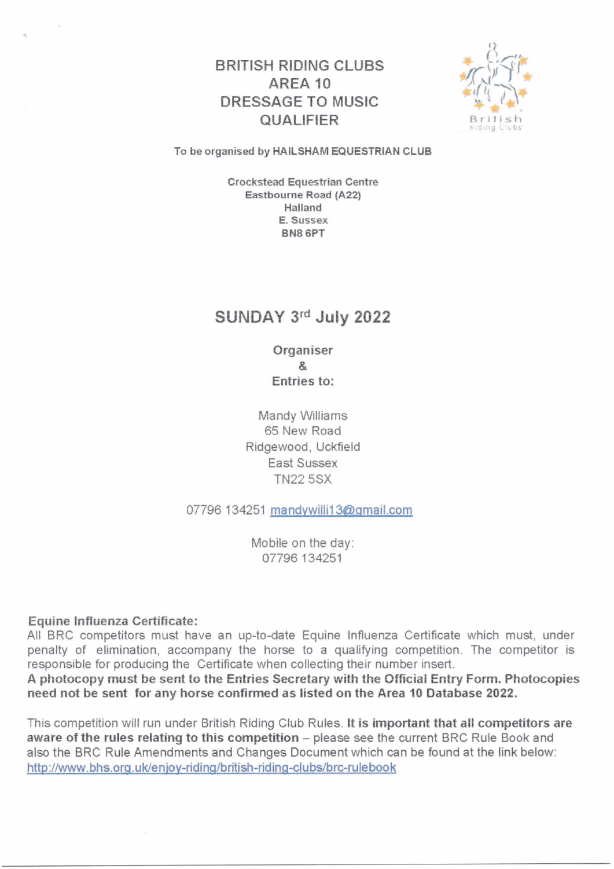# BRITISH RIDING CLUBS AREA 10 DRES\$AGE TO MUSIC QUALIFIER



#### To be organised by HAILSHAM EQUESTRIAN CLUB

Crockstead Equestrian Centre Easthourne Road (A22) Halland E. Sussex BN8 6PT

# SUNDAY 3'd July 2022

0rganiser & Entries to:

Mandy Williams 65 New Road Ridgewood, Uckfield East Sussex **TN22 5SX** 

07796 134251 mandywilli13@gmail.com

Mobile on the day 07796 134251

#### Equine Influenza Certificate:

All BRC competitors must have an up-to-date Equine Influenza Certificate which must, under penalty of elimination, accompany the horse to a qualifying competition. The competitor is responsible for producing the Certificate when collecting their number insert.

A photocopy must be sent to the Entries Secretary with the Official Entry Form. Photocopies need not be sent for any horse confirmed as listed on the Area 10 Database 2022.

This competition will run under British Riding Club Rules. It is important that all competitors are aware of the rules relating to this competition - please see the current BRC Rule Book and also the BRC Rule Amendments and Changes Document which can be found at the link below: http://www.bhs.org.uk/enjoy-riding/british-riding-clubs/brc-rulebook